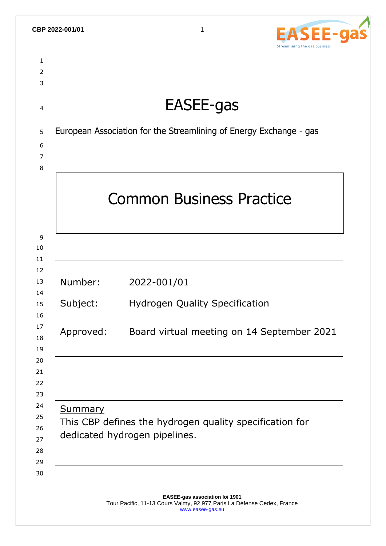

| EASEE-gas                                                          |                                                                                          |  |  |  |  |  |
|--------------------------------------------------------------------|------------------------------------------------------------------------------------------|--|--|--|--|--|
| European Association for the Streamlining of Energy Exchange - gas |                                                                                          |  |  |  |  |  |
|                                                                    | <b>Common Business Practice</b>                                                          |  |  |  |  |  |
|                                                                    |                                                                                          |  |  |  |  |  |
| Number:                                                            | 2022-001/01                                                                              |  |  |  |  |  |
| Subject:                                                           | <b>Hydrogen Quality Specification</b>                                                    |  |  |  |  |  |
| Approved:                                                          | Board virtual meeting on 14 September 2021                                               |  |  |  |  |  |
|                                                                    |                                                                                          |  |  |  |  |  |
| <b>Summary</b>                                                     | This CBP defines the hydrogen quality specification for<br>dedicated hydrogen pipelines. |  |  |  |  |  |

**EASEE-gas association loi 1901** Tour Pacific, 11-13 Cours Valmy, 92 977 Paris La Défense Cedex, France [www.easee-gas.eu](http://www.easee-gas.eu/)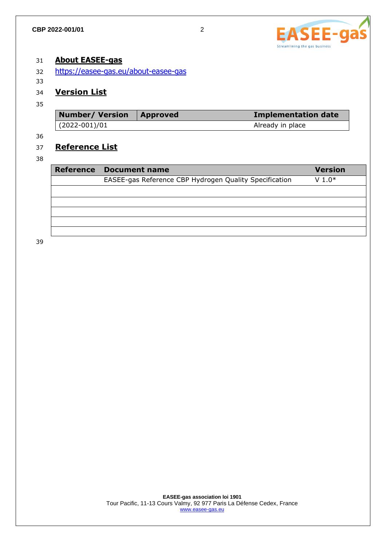

#### 31 **About EASEE-gas**

32 <https://easee-gas.eu/about-easee-gas>

#### 34 **Version List**

#### 35

33

| <b>Number/ Version</b> | $\blacksquare$ Approved | <b>Implementation date</b> |
|------------------------|-------------------------|----------------------------|
| $(2022 - 001)/01$      |                         | Already in place           |

#### 36

### 37 **Reference List**

#### 38

| Reference Document name                                | <b>Version</b> |
|--------------------------------------------------------|----------------|
| EASEE-gas Reference CBP Hydrogen Quality Specification | $V 1.0*$       |
|                                                        |                |
|                                                        |                |
|                                                        |                |
|                                                        |                |
|                                                        |                |

39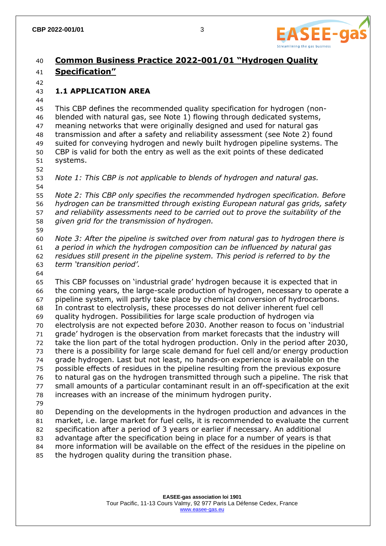

### **Common Business Practice 2022-001/01 "Hydrogen Quality Specification"**

#### **1.1 APPLICATION AREA**

 This CBP defines the recommended quality specification for hydrogen (non- blended with natural gas, see Note 1) flowing through dedicated systems, meaning networks that were originally designed and used for natural gas transmission and after a safety and reliability assessment (see Note 2) found suited for conveying hydrogen and newly built hydrogen pipeline systems. The CBP is valid for both the entry as well as the exit points of these dedicated systems.

*Note 1: This CBP is not applicable to blends of hydrogen and natural gas.*

 *Note 2: This CBP only specifies the recommended hydrogen specification. Before hydrogen can be transmitted through existing European natural gas grids, safety and reliability assessments need to be carried out to prove the suitability of the given grid for the transmission of hydrogen.*

 *Note 3: After the pipeline is switched over from natural gas to hydrogen there is a period in which the hydrogen composition can be influenced by natural gas residues still present in the pipeline system. This period is referred to by the term 'transition period'.*

 This CBP focusses on 'industrial grade' hydrogen because it is expected that in the coming years, the large-scale production of hydrogen, necessary to operate a pipeline system, will partly take place by chemical conversion of hydrocarbons. In contrast to electrolysis, these processes do not deliver inherent fuel cell quality hydrogen. Possibilities for large scale production of hydrogen via electrolysis are not expected before 2030. Another reason to focus on 'industrial grade' hydrogen is the observation from market forecasts that the industry will take the lion part of the total hydrogen production. Only in the period after 2030, there is a possibility for large scale demand for fuel cell and/or energy production grade hydrogen. Last but not least, no hands-on experience is available on the possible effects of residues in the pipeline resulting from the previous exposure to natural gas on the hydrogen transmitted through such a pipeline. The risk that small amounts of a particular contaminant result in an off-specification at the exit increases with an increase of the minimum hydrogen purity. 

 Depending on the developments in the hydrogen production and advances in the market, i.e. large market for fuel cells, it is recommended to evaluate the current specification after a period of 3 years or earlier if necessary. An additional advantage after the specification being in place for a number of years is that more information will be available on the effect of the residues in the pipeline on the hydrogen quality during the transition phase.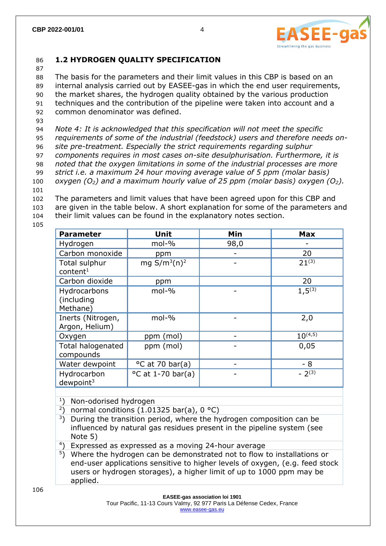

# 86 **1.2 HYDROGEN QUALITY SPECIFICATION**

87

 The basis for the parameters and their limit values in this CBP is based on an internal analysis carried out by EASEE-gas in which the end user requirements, the market shares, the hydrogen quality obtained by the various production techniques and the contribution of the pipeline were taken into account and a common denominator was defined.

93

 *Note 4: It is acknowledged that this specification will not meet the specific requirements of some of the industrial (feedstock) users and therefore needs on- site pre-treatment. Especially the strict requirements regarding sulphur components requires in most cases on-site desulphurisation. Furthermore, it is noted that the oxygen limitations in some of the industrial processes are more strict i.e. a maximum 24 hour moving average value of 5 ppm (molar basis) oxygen (O2) and a maximum hourly value of 25 ppm (molar basis) oxygen (O2).*

101

102 The parameters and limit values that have been agreed upon for this CBP and 103 are given in the table below. A short explanation for some of the parameters and 104 their limit values can be found in the explanatory notes section.

105

| <b>Parameter</b>                        | Unit                        | Min  | <b>Max</b>   |
|-----------------------------------------|-----------------------------|------|--------------|
| Hydrogen                                | mol-%                       | 98,0 |              |
| Carbon monoxide                         | ppm                         |      | 20           |
| Total sulphur<br>content <sup>1</sup>   | mg $S/m^3(n)^2$             |      | $21^{(3)}$   |
| Carbon dioxide                          | ppm                         |      | 20           |
| Hydrocarbons<br>(including<br>Methane)  | mol-%                       |      | $1,5^{(3)}$  |
| Inerts (Nitrogen,<br>Argon, Helium)     | mol-%                       |      | 2,0          |
| Oxygen                                  | ppm (mol)                   |      | $10^{(4,5)}$ |
| <b>Total halogenated</b><br>compounds   | ppm (mol)                   |      | 0,05         |
| Water dewpoint                          | $\degree$ C at 70 bar(a)    |      | - 8          |
| Hydrocarbon<br>$d$ ewpoint <sup>3</sup> | $^{\circ}$ C at 1-70 bar(a) |      | $-2^{(3)}$   |

#### <sup>1</sup>) Non-odorised hydrogen

- <sup>2</sup>) normal conditions (1.01325 bar(a), 0 °C)
- $3)$  During the transition period, where the hydrogen composition can be influenced by natural gas residues present in the pipeline system (see Note 5)
- 4 ) Expressed as expressed as a moving 24-hour average

<sup>5</sup>) Where the hydrogen can be demonstrated not to flow to installations or end-user applications sensitive to higher levels of oxygen, (e.g. feed stock users or hydrogen storages), a higher limit of up to 1000 ppm may be applied.

106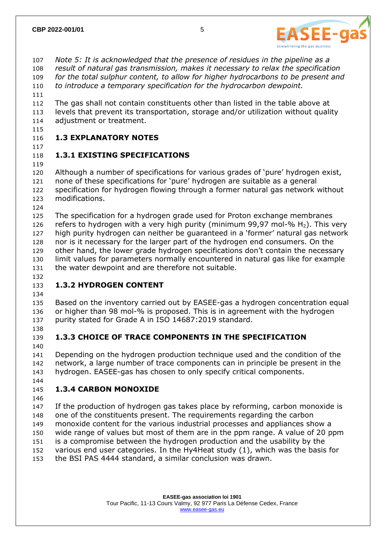

 *Note 5: It is acknowledged that the presence of residues in the pipeline as a result of natural gas transmission, makes it necessary to relax the specification for the total sulphur content, to allow for higher hydrocarbons to be present and to introduce a temporary specification for the hydrocarbon dewpoint.*

 The gas shall not contain constituents other than listed in the table above at levels that prevent its transportation, storage and/or utilization without quality adjustment or treatment.

### **1.3 EXPLANATORY NOTES**

#### 

#### **1.3.1 EXISTING SPECIFICATIONS**

 Although a number of specifications for various grades of 'pure' hydrogen exist, none of these specifications for 'pure' hydrogen are suitable as a general specification for hydrogen flowing through a former natural gas network without modifications.

 The specification for a hydrogen grade used for Proton exchange membranes 126 refers to hydrogen with a very high purity (minimum 99,97 mol-%  $H_2$ ). This very high purity hydrogen can neither be guaranteed in a 'former' natural gas network nor is it necessary for the larger part of the hydrogen end consumers. On the other hand, the lower grade hydrogen specifications don't contain the necessary limit values for parameters normally encountered in natural gas like for example the water dewpoint and are therefore not suitable.

#### **1.3.2 HYDROGEN CONTENT**

 Based on the inventory carried out by EASEE-gas a hydrogen concentration equal or higher than 98 mol-% is proposed. This is in agreement with the hydrogen purity stated for Grade A in ISO 14687:2019 standard.

# **1.3.3 CHOICE OF TRACE COMPONENTS IN THE SPECIFICATION**

 Depending on the hydrogen production technique used and the condition of the network, a large number of trace components can in principle be present in the hydrogen. EASEE-gas has chosen to only specify critical components.

# **1.3.4 CARBON MONOXIDE**

 If the production of hydrogen gas takes place by reforming, carbon monoxide is one of the constituents present. The requirements regarding the carbon monoxide content for the various industrial processes and appliances show a wide range of values but most of them are in the ppm range. A value of 20 ppm is a compromise between the hydrogen production and the usability by the various end user categories. In the Hy4Heat study (1), which was the basis for the BSI PAS 4444 standard, a similar conclusion was drawn.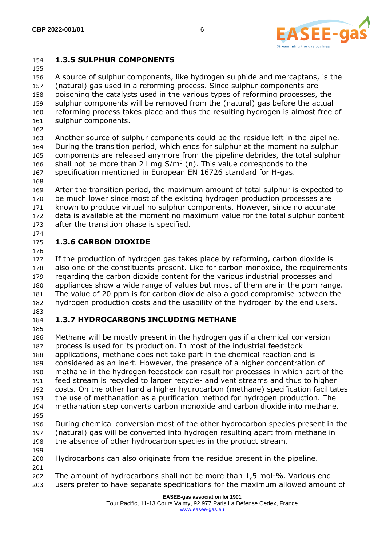# **EASEE-g** Streamlining the gas busines

#### **1.3.5 SULPHUR COMPONENTS**

 A source of sulphur components, like hydrogen sulphide and mercaptans, is the (natural) gas used in a reforming process. Since sulphur components are poisoning the catalysts used in the various types of reforming processes, the sulphur components will be removed from the (natural) gas before the actual reforming process takes place and thus the resulting hydrogen is almost free of sulphur components.

 Another source of sulphur components could be the residue left in the pipeline. During the transition period, which ends for sulphur at the moment no sulphur components are released anymore from the pipeline debrides, the total sulphur 166 shall not be more than 21 mg  $S/m^3$  (n). This value corresponds to the specification mentioned in European EN 16726 standard for H-gas.

 After the transition period, the maximum amount of total sulphur is expected to be much lower since most of the existing hydrogen production processes are known to produce virtual no sulphur components. However, since no accurate data is available at the moment no maximum value for the total sulphur content after the transition phase is specified.

### **1.3.6 CARBON DIOXIDE**

 If the production of hydrogen gas takes place by reforming, carbon dioxide is also one of the constituents present. Like for carbon monoxide, the requirements regarding the carbon dioxide content for the various industrial processes and appliances show a wide range of values but most of them are in the ppm range. The value of 20 ppm is for carbon dioxide also a good compromise between the hydrogen production costs and the usability of the hydrogen by the end users.

# **1.3.7 HYDROCARBONS INCLUDING METHANE**

 Methane will be mostly present in the hydrogen gas if a chemical conversion process is used for its production. In most of the industrial feedstock applications, methane does not take part in the chemical reaction and is considered as an inert. However, the presence of a higher concentration of methane in the hydrogen feedstock can result for processes in which part of the feed stream is recycled to larger recycle- and vent streams and thus to higher costs. On the other hand a higher hydrocarbon (methane) specification facilitates the use of methanation as a purification method for hydrogen production. The methanation step converts carbon monoxide and carbon dioxide into methane. During chemical conversion most of the other hydrocarbon species present in the

 (natural) gas will be converted into hydrogen resulting apart from methane in the absence of other hydrocarbon species in the product stream.

- 
- Hydrocarbons can also originate from the residue present in the pipeline.
- 

 The amount of hydrocarbons shall not be more than 1,5 mol-%. Various end users prefer to have separate specifications for the maximum allowed amount of

#### **EASEE-gas association loi 1901**

Tour Pacific, 11-13 Cours Valmy, 92 977 Paris La Défense Cedex, France [www.easee-gas.eu](http://www.easee-gas.eu/)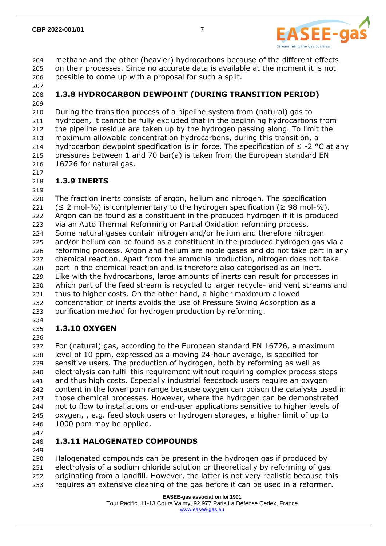

 methane and the other (heavier) hydrocarbons because of the different effects on their processes. Since no accurate data is available at the moment it is not possible to come up with a proposal for such a split.

# **1.3.8 HYDROCARBON DEWPOINT (DURING TRANSITION PERIOD)**

 During the transition process of a pipeline system from (natural) gas to hydrogen, it cannot be fully excluded that in the beginning hydrocarbons from the pipeline residue are taken up by the hydrogen passing along. To limit the maximum allowable concentration hydrocarbons, during this transition, a 214 hydrocarbon dewpoint specification is in force. The specification of  $\leq$  -2 °C at any pressures between 1 and 70 bar(a) is taken from the European standard EN 16726 for natural gas.

### **1.3.9 INERTS**

 The fraction inerts consists of argon, helium and nitrogen. The specification 221 ( $\leq$  2 mol-%) is complementary to the hydrogen specification ( $\geq$  98 mol-%). Argon can be found as a constituent in the produced hydrogen if it is produced via an Auto Thermal Reforming or Partial Oxidation reforming process. Some natural gases contain nitrogen and/or helium and therefore nitrogen and/or helium can be found as a constituent in the produced hydrogen gas via a reforming process. Argon and helium are noble gases and do not take part in any chemical reaction. Apart from the ammonia production, nitrogen does not take part in the chemical reaction and is therefore also categorised as an inert. Like with the hydrocarbons, large amounts of inerts can result for processes in which part of the feed stream is recycled to larger recycle- and vent streams and thus to higher costs. On the other hand, a higher maximum allowed concentration of inerts avoids the use of Pressure Swing Adsorption as a purification method for hydrogen production by reforming.

# **1.3.10 OXYGEN**

 For (natural) gas, according to the European standard EN 16726, a maximum level of 10 ppm, expressed as a moving 24-hour average, is specified for sensitive users. The production of hydrogen, both by reforming as well as electrolysis can fulfil this requirement without requiring complex process steps and thus high costs. Especially industrial feedstock users require an oxygen content in the lower ppm range because oxygen can poison the catalysts used in those chemical processes. However, where the hydrogen can be demonstrated not to flow to installations or end-user applications sensitive to higher levels of oxygen, , e.g. feed stock users or hydrogen storages, a higher limit of up to 1000 ppm may be applied.

# **1.3.11 HALOGENATED COMPOUNDS**

 Halogenated compounds can be present in the hydrogen gas if produced by electrolysis of a sodium chloride solution or theoretically by reforming of gas originating from a landfill. However, the latter is not very realistic because this requires an extensive cleaning of the gas before it can be used in a reformer.